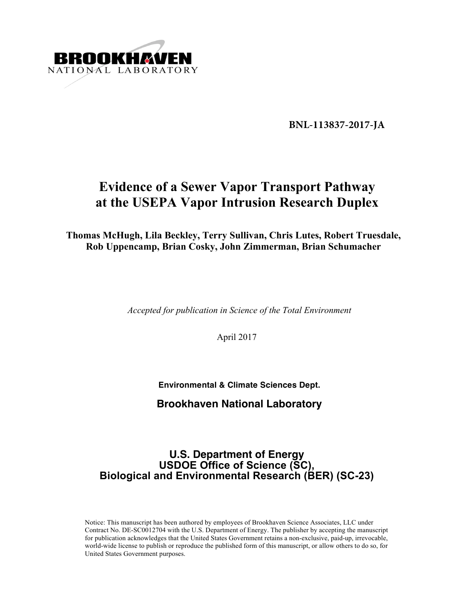

**BNL-113837-2017-JA**

# **Evidence of a Sewer Vapor Transport Pathway at the USEPA Vapor Intrusion Research Duplex**

**Thomas McHugh, Lila Beckley, Terry Sullivan, Chris Lutes, Robert Truesdale, Rob Uppencamp, Brian Cosky, John Zimmerman, Brian Schumacher**

*Accepted for publication in Science of the Total Environment* 

April 2017

**Environmental & Climate Sciences Dept.**

**Brookhaven National Laboratory**

# **U.S. Department of Energy USDOE Office of Science (SC), Biological and Environmental Research (BER) (SC-23)**

Notice: This manuscript has been authored by employees of Brookhaven Science Associates, LLC under Contract No. DE-SC0012704 with the U.S. Department of Energy. The publisher by accepting the manuscript for publication acknowledges that the United States Government retains a non-exclusive, paid-up, irrevocable, world-wide license to publish or reproduce the published form of this manuscript, or allow others to do so, for United States Government purposes.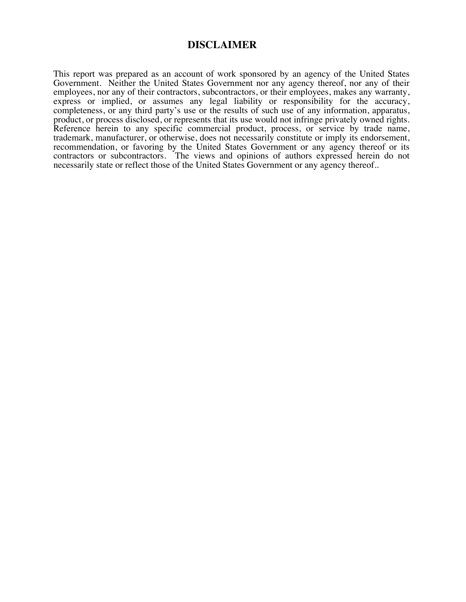# **DISCLAIMER**

This report was prepared as an account of work sponsored by an agency of the United States Government. Neither the United States Government nor any agency thereof, nor any of their employees, nor any of their contractors, subcontractors, or their employees, makes any warranty, express or implied, or assumes any legal liability or responsibility for the accuracy, completeness, or any third party's use or the results of such use of any information, apparatus, product, or process disclosed, or represents that its use would not infringe privately owned rights. Reference herein to any specific commercial product, process, or service by trade name, trademark, manufacturer, or otherwise, does not necessarily constitute or imply its endorsement, recommendation, or favoring by the United States Government or any agency thereof or its contractors or subcontractors. The views and opinions of authors expressed herein do not necessarily state or reflect those of the United States Government or any agency thereof*..*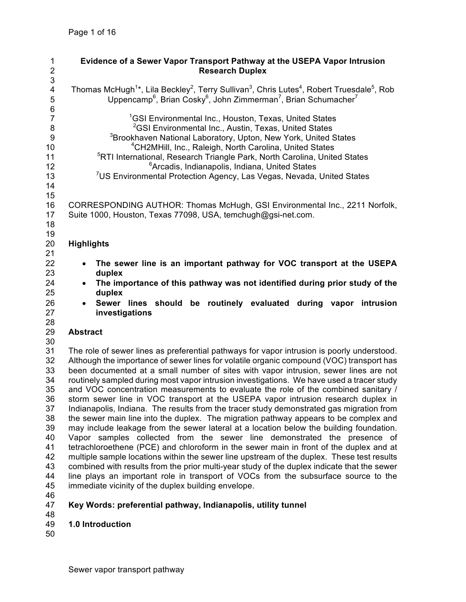| $\mathbf{1}$<br>$\boldsymbol{2}$                                                                               | Evidence of a Sewer Vapor Transport Pathway at the USEPA Vapor Intrusion<br><b>Research Duplex</b>                                                                                                                                                                                                                                                                                                                                                                                                                                                                                                                                                                                                                                                                                                                                                                                                                                                                                                                                                                                                                                                                                                                                                                                                                                                                                                                                         |
|----------------------------------------------------------------------------------------------------------------|--------------------------------------------------------------------------------------------------------------------------------------------------------------------------------------------------------------------------------------------------------------------------------------------------------------------------------------------------------------------------------------------------------------------------------------------------------------------------------------------------------------------------------------------------------------------------------------------------------------------------------------------------------------------------------------------------------------------------------------------------------------------------------------------------------------------------------------------------------------------------------------------------------------------------------------------------------------------------------------------------------------------------------------------------------------------------------------------------------------------------------------------------------------------------------------------------------------------------------------------------------------------------------------------------------------------------------------------------------------------------------------------------------------------------------------------|
| 3<br>$\overline{\mathbf{4}}$<br>5<br>$\,6$                                                                     | Thomas McHugh <sup>1*</sup> , Lila Beckley <sup>2</sup> , Terry Sullivan <sup>3</sup> , Chris Lutes <sup>4</sup> , Robert Truesdale <sup>5</sup> , Rob<br>Uppencamp <sup>6</sup> , Brian Cosky <sup>6</sup> , John Zimmerman <sup>7</sup> , Brian Schumacher <sup>7</sup>                                                                                                                                                                                                                                                                                                                                                                                                                                                                                                                                                                                                                                                                                                                                                                                                                                                                                                                                                                                                                                                                                                                                                                  |
| $\overline{7}$<br>8<br>$\boldsymbol{9}$<br>10<br>11<br>12<br>13                                                | <sup>1</sup> GSI Environmental Inc., Houston, Texas, United States<br><sup>2</sup> GSI Environmental Inc., Austin, Texas, United States<br><sup>3</sup> Brookhaven National Laboratory, Upton, New York, United States<br><sup>4</sup> CH2MHill, Inc., Raleigh, North Carolina, United States<br><sup>5</sup> RTI International, Research Triangle Park, North Carolina, United States<br><sup>6</sup> Arcadis, Indianapolis, Indiana, United States<br><sup>7</sup> US Environmental Protection Agency, Las Vegas, Nevada, United States                                                                                                                                                                                                                                                                                                                                                                                                                                                                                                                                                                                                                                                                                                                                                                                                                                                                                                  |
| 14<br>15<br>16<br>17<br>18                                                                                     | CORRESPONDING AUTHOR: Thomas McHugh, GSI Environmental Inc., 2211 Norfolk,<br>Suite 1000, Houston, Texas 77098, USA, temchugh@gsi-net.com.                                                                                                                                                                                                                                                                                                                                                                                                                                                                                                                                                                                                                                                                                                                                                                                                                                                                                                                                                                                                                                                                                                                                                                                                                                                                                                 |
| 19<br>20<br>21<br>22<br>23<br>24                                                                               | <b>Highlights</b><br>The sewer line is an important pathway for VOC transport at the USEPA<br>$\bullet$<br>duplex<br>The importance of this pathway was not identified during prior study of the                                                                                                                                                                                                                                                                                                                                                                                                                                                                                                                                                                                                                                                                                                                                                                                                                                                                                                                                                                                                                                                                                                                                                                                                                                           |
| 25<br>26<br>27<br>28                                                                                           | duplex<br>Sewer lines should be routinely evaluated during vapor intrusion<br>investigations                                                                                                                                                                                                                                                                                                                                                                                                                                                                                                                                                                                                                                                                                                                                                                                                                                                                                                                                                                                                                                                                                                                                                                                                                                                                                                                                               |
| 29<br>30<br>31<br>32<br>33<br>34<br>35<br>36<br>37<br>38<br>39<br>40<br>41<br>42<br>43<br>44<br>45<br>46<br>47 | <b>Abstract</b><br>The role of sewer lines as preferential pathways for vapor intrusion is poorly understood.<br>Although the importance of sewer lines for volatile organic compound (VOC) transport has<br>been documented at a small number of sites with vapor intrusion, sewer lines are not<br>routinely sampled during most vapor intrusion investigations. We have used a tracer study<br>and VOC concentration measurements to evaluate the role of the combined sanitary /<br>storm sewer line in VOC transport at the USEPA vapor intrusion research duplex in<br>Indianapolis, Indiana. The results from the tracer study demonstrated gas migration from<br>the sewer main line into the duplex. The migration pathway appears to be complex and<br>may include leakage from the sewer lateral at a location below the building foundation.<br>Vapor samples collected from the sewer line demonstrated the presence of<br>tetrachloroethene (PCE) and chloroform in the sewer main in front of the duplex and at<br>multiple sample locations within the sewer line upstream of the duplex. These test results<br>combined with results from the prior multi-year study of the duplex indicate that the sewer<br>line plays an important role in transport of VOCs from the subsurface source to the<br>immediate vicinity of the duplex building envelope.<br>Key Words: preferential pathway, Indianapolis, utility tunnel |
| 48                                                                                                             |                                                                                                                                                                                                                                                                                                                                                                                                                                                                                                                                                                                                                                                                                                                                                                                                                                                                                                                                                                                                                                                                                                                                                                                                                                                                                                                                                                                                                                            |

- **1.0 Introduction**
-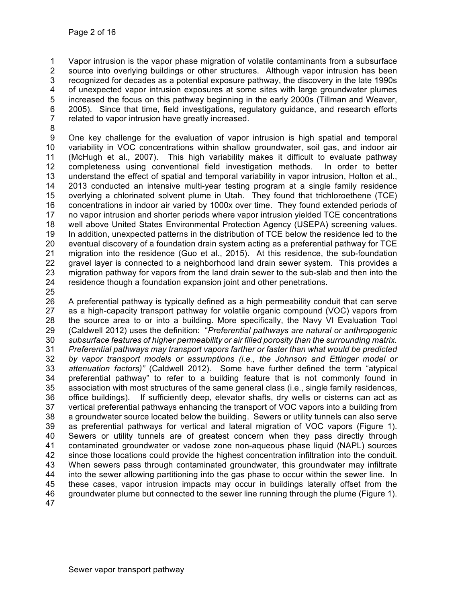Vapor intrusion is the vapor phase migration of volatile contaminants from a subsurface source into overlying buildings or other structures. Although vapor intrusion has been recognized for decades as a potential exposure pathway, the discovery in the late 1990s of unexpected vapor intrusion exposures at some sites with large groundwater plumes increased the focus on this pathway beginning in the early 2000s (Tillman and Weaver, 2005). Since that time, field investigations, regulatory guidance, and research efforts related to vapor intrusion have greatly increased.

 One key challenge for the evaluation of vapor intrusion is high spatial and temporal variability in VOC concentrations within shallow groundwater, soil gas, and indoor air (McHugh et al., 2007). This high variability makes it difficult to evaluate pathway completeness using conventional field investigation methods. In order to better understand the effect of spatial and temporal variability in vapor intrusion, Holton et al., 2013 conducted an intensive multi-year testing program at a single family residence overlying a chlorinated solvent plume in Utah. They found that trichloroethene (TCE) concentrations in indoor air varied by 1000x over time. They found extended periods of no vapor intrusion and shorter periods where vapor intrusion yielded TCE concentrations well above United States Environmental Protection Agency (USEPA) screening values. In addition, unexpected patterns in the distribution of TCE below the residence led to the 20 eventual discovery of a foundation drain system acting as a preferential pathway for TCE<br>21 migration into the residence (Guo et al., 2015). At this residence, the sub-foundation migration into the residence (Guo et al., 2015). At this residence, the sub-foundation gravel layer is connected to a neighborhood land drain sewer system. This provides a migration pathway for vapors from the land drain sewer to the sub-slab and then into the residence though a foundation expansion joint and other penetrations.

 A preferential pathway is typically defined as a high permeability conduit that can serve as a high-capacity transport pathway for volatile organic compound (VOC) vapors from the source area to or into a building. More specifically, the Navy VI Evaluation Tool (Caldwell 2012) uses the definition: "*Preferential pathways are natural or anthropogenic subsurface features of higher permeability or air filled porosity than the surrounding matrix. Preferential pathways may transport vapors farther or faster than what would be predicted by vapor transport models or assumptions (i.e., the Johnson and Ettinger model or attenuation factors)"* (Caldwell 2012). Some have further defined the term "atypical preferential pathway" to refer to a building feature that is not commonly found in association with most structures of the same general class (i.e., single family residences, office buildings). If sufficiently deep, elevator shafts, dry wells or cisterns can act as vertical preferential pathways enhancing the transport of VOC vapors into a building from a groundwater source located below the building. Sewers or utility tunnels can also serve as preferential pathways for vertical and lateral migration of VOC vapors (Figure 1). Sewers or utility tunnels are of greatest concern when they pass directly through contaminated groundwater or vadose zone non-aqueous phase liquid (NAPL) sources since those locations could provide the highest concentration infiltration into the conduit. When sewers pass through contaminated groundwater, this groundwater may infiltrate into the sewer allowing partitioning into the gas phase to occur within the sewer line. In these cases, vapor intrusion impacts may occur in buildings laterally offset from the groundwater plume but connected to the sewer line running through the plume (Figure 1).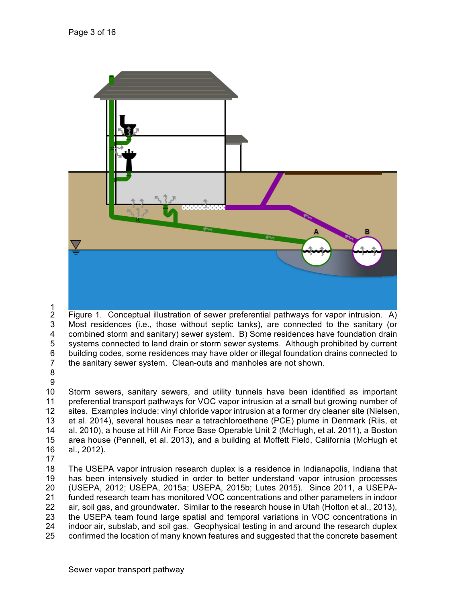

 $\frac{1}{2}$ 

Figure 1. Conceptual illustration of sewer preferential pathways for vapor intrusion. A) Most residences (i.e., those without septic tanks), are connected to the sanitary (or combined storm and sanitary) sewer system. B) Some residences have foundation drain systems connected to land drain or storm sewer systems. Although prohibited by current building codes, some residences may have older or illegal foundation drains connected to the sanitary sewer system. Clean-outs and manholes are not shown.

 Storm sewers, sanitary sewers, and utility tunnels have been identified as important preferential transport pathways for VOC vapor intrusion at a small but growing number of sites. Examples include: vinyl chloride vapor intrusion at a former dry cleaner site (Nielsen, et al. 2014), several houses near a tetrachloroethene (PCE) plume in Denmark (Riis, et al. 2010), a house at Hill Air Force Base Operable Unit 2 (McHugh, et al. 2011), a Boston area house (Pennell, et al. 2013), and a building at Moffett Field, California (McHugh et al., 2012).

 The USEPA vapor intrusion research duplex is a residence in Indianapolis, Indiana that has been intensively studied in order to better understand vapor intrusion processes (USEPA, 2012; USEPA, 2015a; USEPA, 2015b; Lutes 2015). Since 2011, a USEPA- funded research team has monitored VOC concentrations and other parameters in indoor air, soil gas, and groundwater. Similar to the research house in Utah (Holton et al., 2013), the USEPA team found large spatial and temporal variations in VOC concentrations in indoor air, subslab, and soil gas. Geophysical testing in and around the research duplex confirmed the location of many known features and suggested that the concrete basement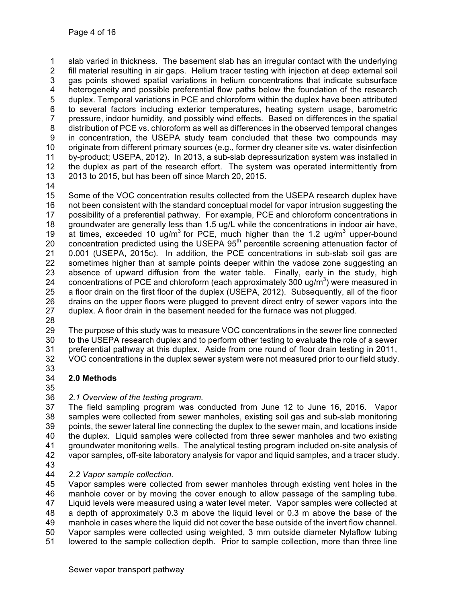slab varied in thickness. The basement slab has an irregular contact with the underlying fill material resulting in air gaps. Helium tracer testing with injection at deep external soil gas points showed spatial variations in helium concentrations that indicate subsurface heterogeneity and possible preferential flow paths below the foundation of the research duplex. Temporal variations in PCE and chloroform within the duplex have been attributed to several factors including exterior temperatures, heating system usage, barometric pressure, indoor humidity, and possibly wind effects. Based on differences in the spatial distribution of PCE vs. chloroform as well as differences in the observed temporal changes in concentration, the USEPA study team concluded that these two compounds may originate from different primary sources (e.g., former dry cleaner site vs. water disinfection by-product; USEPA, 2012). In 2013, a sub-slab depressurization system was installed in the duplex as part of the research effort. The system was operated intermittently from 2013 to 2015, but has been off since March 20, 2015.

 Some of the VOC concentration results collected from the USEPA research duplex have not been consistent with the standard conceptual model for vapor intrusion suggesting the possibility of a preferential pathway. For example, PCE and chloroform concentrations in groundwater are generally less than 1.5 ug/L while the concentrations in indoor air have, 19 at times, exceeded 10 ug/m<sup>3</sup> for PCE, much higher than the 1.2 ug/m<sup>3</sup> upper-bound 20 concentration predicted using the USEPA  $95<sup>th</sup>$  percentile screening attenuation factor of 0.001 (USEPA, 2015c). In addition, the PCE concentrations in sub-slab soil gas are sometimes higher than at sample points deeper within the vadose zone suggesting an absence of upward diffusion from the water table. Finally, early in the study, high 24 concentrations of PCE and chloroform (each approximately 300 ug/m<sup>3</sup>) were measured in a floor drain on the first floor of the duplex (USEPA, 2012). Subsequently, all of the floor drains on the upper floors were plugged to prevent direct entry of sewer vapors into the duplex. A floor drain in the basement needed for the furnace was not plugged.

 The purpose of this study was to measure VOC concentrations in the sewer line connected to the USEPA research duplex and to perform other testing to evaluate the role of a sewer preferential pathway at this duplex. Aside from one round of floor drain testing in 2011, VOC concentrations in the duplex sewer system were not measured prior to our field study.

- **2.0 Methods**
- 

# *2.1 Overview of the testing program.*

 The field sampling program was conducted from June 12 to June 16, 2016. Vapor samples were collected from sewer manholes, existing soil gas and sub-slab monitoring points, the sewer lateral line connecting the duplex to the sewer main, and locations inside the duplex. Liquid samples were collected from three sewer manholes and two existing groundwater monitoring wells. The analytical testing program included on-site analysis of vapor samples, off-site laboratory analysis for vapor and liquid samples, and a tracer study.

- 
- *2.2 Vapor sample collection.*

 Vapor samples were collected from sewer manholes through existing vent holes in the manhole cover or by moving the cover enough to allow passage of the sampling tube. Liquid levels were measured using a water level meter. Vapor samples were collected at a depth of approximately 0.3 m above the liquid level or 0.3 m above the base of the manhole in cases where the liquid did not cover the base outside of the invert flow channel. Vapor samples were collected using weighted, 3 mm outside diameter Nylaflow tubing lowered to the sample collection depth. Prior to sample collection, more than three line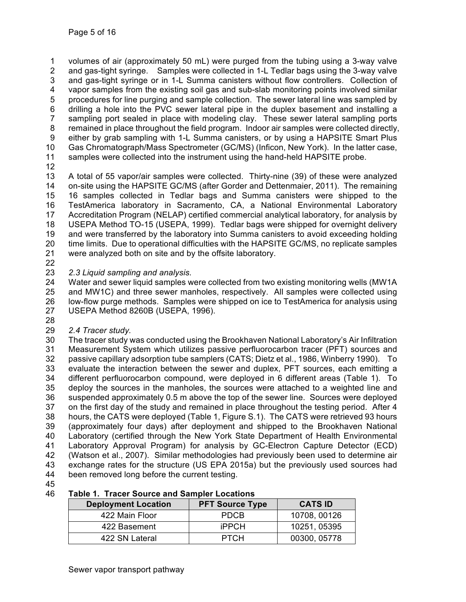volumes of air (approximately 50 mL) were purged from the tubing using a 3-way valve and gas-tight syringe. Samples were collected in 1-L Tedlar bags using the 3-way valve and gas-tight syringe or in 1-L Summa canisters without flow controllers. Collection of vapor samples from the existing soil gas and sub-slab monitoring points involved similar procedures for line purging and sample collection. The sewer lateral line was sampled by drilling a hole into the PVC sewer lateral pipe in the duplex basement and installing a sampling port sealed in place with modeling clay. These sewer lateral sampling ports remained in place throughout the field program. Indoor air samples were collected directly, either by grab sampling with 1-L Summa canisters, or by using a HAPSITE Smart Plus Gas Chromatograph/Mass Spectrometer (GC/MS) (Inficon, New York). In the latter case, samples were collected into the instrument using the hand-held HAPSITE probe.

 A total of 55 vapor/air samples were collected. Thirty-nine (39) of these were analyzed on-site using the HAPSITE GC/MS (after Gorder and Dettenmaier, 2011). The remaining 16 samples collected in Tedlar bags and Summa canisters were shipped to the TestAmerica laboratory in Sacramento, CA, a National Environmental Laboratory Accreditation Program (NELAP) certified commercial analytical laboratory, for analysis by USEPA Method TO-15 (USEPA, 1999). Tedlar bags were shipped for overnight delivery and were transferred by the laboratory into Summa canisters to avoid exceeding holding time limits. Due to operational difficulties with the HAPSITE GC/MS, no replicate samples were analyzed both on site and by the offsite laboratory.

- 
- *2.3 Liquid sampling and analysis.*

 Water and sewer liquid samples were collected from two existing monitoring wells (MW1A and MW1C) and three sewer manholes, respectively. All samples were collected using low-flow purge methods. Samples were shipped on ice to TestAmerica for analysis using USEPA Method 8260B (USEPA, 1996).

- 
- *2.4 Tracer study.*

 The tracer study was conducted using the Brookhaven National Laboratory's Air Infiltration Measurement System which utilizes passive perfluorocarbon tracer (PFT) sources and passive capillary adsorption tube samplers (CATS; Dietz et al., 1986, Winberry 1990). To evaluate the interaction between the sewer and duplex, PFT sources, each emitting a different perfluorocarbon compound, were deployed in 6 different areas (Table 1). To deploy the sources in the manholes, the sources were attached to a weighted line and suspended approximately 0.5 m above the top of the sewer line. Sources were deployed 37 on the first day of the study and remained in place throughout the testing period. After 4 hours, the CATS were deployed (Table 1, Figure S.1). The CATS were retrieved 93 hours (approximately four days) after deployment and shipped to the Brookhaven National Laboratory (certified through the New York State Department of Health Environmental Laboratory Approval Program) for analysis by GC-Electron Capture Detector (ECD) (Watson et al., 2007). Similar methodologies had previously been used to determine air exchange rates for the structure (US EPA 2015a) but the previously used sources had been removed long before the current testing.

**Table 1. Tracer Source and Sampler Locations**

| <b>Deployment Location</b> | <b>PFT Source Type</b> | <b>CATS ID</b> |
|----------------------------|------------------------|----------------|
| 422 Main Floor             | <b>PDCB</b>            | 10708, 00126   |
| 422 Basement               | <b>iPPCH</b>           | 10251, 05395   |
| 422 SN Lateral             | <b>PTCH</b>            | 00300, 05778   |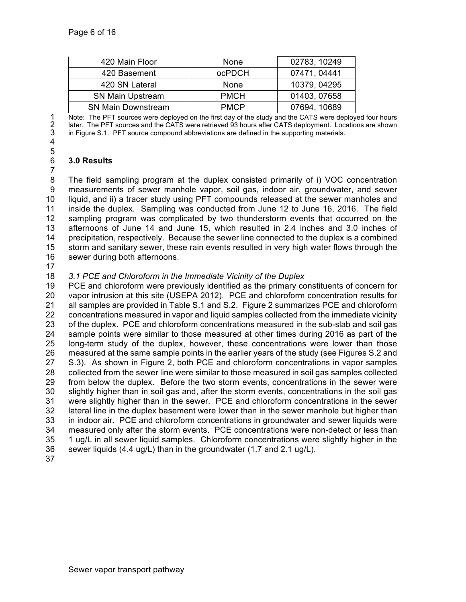| 420 Main Floor            | <b>None</b> | 02783, 10249 |
|---------------------------|-------------|--------------|
| 420 Basement              | ocPDCH      | 07471, 04441 |
| 420 SN Lateral            | None        | 10379, 04295 |
| <b>SN Main Upstream</b>   | <b>PMCH</b> | 01403, 07658 |
| <b>SN Main Downstream</b> | <b>PMCP</b> | 07694, 10689 |

1 Note: The PFT sources were deployed on the first day of the study and the CATS were deployed four hours<br>
2 later. The PFT sources and the CATS were retrieved 93 hours after CATS deployment. Locations are shown<br>
3 in Figu later. The PFT sources and the CATS were retrieved 93 hours after CATS deployment. Locations are shown in Figure S.1. PFT source compound abbreviations are defined in the supporting materials.

- 
- 

#### **3.0 Results**

 The field sampling program at the duplex consisted primarily of i) VOC concentration measurements of sewer manhole vapor, soil gas, indoor air, groundwater, and sewer liquid, and ii) a tracer study using PFT compounds released at the sewer manholes and inside the duplex. Sampling was conducted from June 12 to June 16, 2016. The field sampling program was complicated by two thunderstorm events that occurred on the afternoons of June 14 and June 15, which resulted in 2.4 inches and 3.0 inches of precipitation, respectively. Because the sewer line connected to the duplex is a combined storm and sanitary sewer, these rain events resulted in very high water flows through the sewer during both afternoons.

#### *3.1 PCE and Chloroform in the Immediate Vicinity of the Duplex*

 PCE and chloroform were previously identified as the primary constituents of concern for vapor intrusion at this site (USEPA 2012). PCE and chloroform concentration results for all samples are provided in Table S.1 and S.2. Figure 2 summarizes PCE and chloroform concentrations measured in vapor and liquid samples collected from the immediate vicinity of the duplex. PCE and chloroform concentrations measured in the sub-slab and soil gas sample points were similar to those measured at other times during 2016 as part of the long-term study of the duplex, however, these concentrations were lower than those measured at the same sample points in the earlier years of the study (see Figures S.2 and S.3). As shown in Figure 2, both PCE and chloroform concentrations in vapor samples collected from the sewer line were similar to those measured in soil gas samples collected from below the duplex. Before the two storm events, concentrations in the sewer were slightly higher than in soil gas and, after the storm events, concentrations in the soil gas were slightly higher than in the sewer. PCE and chloroform concentrations in the sewer lateral line in the duplex basement were lower than in the sewer manhole but higher than in indoor air. PCE and chloroform concentrations in groundwater and sewer liquids were measured only after the storm events. PCE concentrations were non-detect or less than 1 ug/L in all sewer liquid samples. Chloroform concentrations were slightly higher in the sewer liquids (4.4 ug/L) than in the groundwater (1.7 and 2.1 ug/L).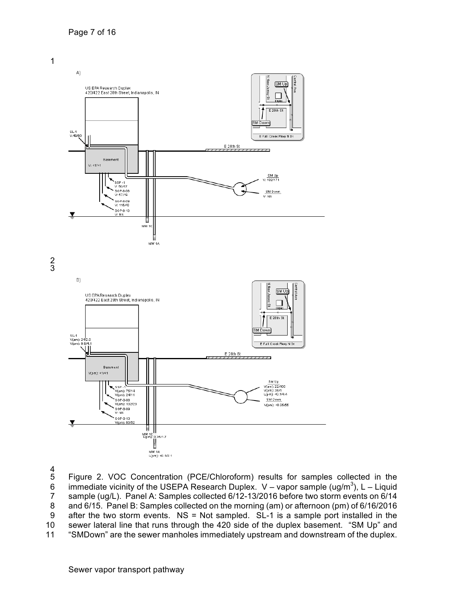

2



 $\frac{4}{5}$ 5 Figure 2. VOC Concentration (PCE/Chloroform) results for samples collected in the 6 immediate vicinity of the USEPA Research Duplex. V – vapor sample (ug/m<sup>3</sup>), L – Liquid 7 sample (ug/L). Panel A: Samples collected 6/12-13/2016 before two storm events on 6/14 8 and 6/15. Panel B: Samples collected on the morning (am) or afternoon (pm) of 6/16/2016<br>9 after the two storm events. NS = Not sampled. SL-1 is a sample port installed in the after the two storm events.  $NS = Not$  sampled.  $SL-1$  is a sample port installed in the 10 sewer lateral line that runs through the 420 side of the duplex basement. "SM Up" and 11 "SMDown" are the sewer manholes immediately upstream and downstream of the duplex.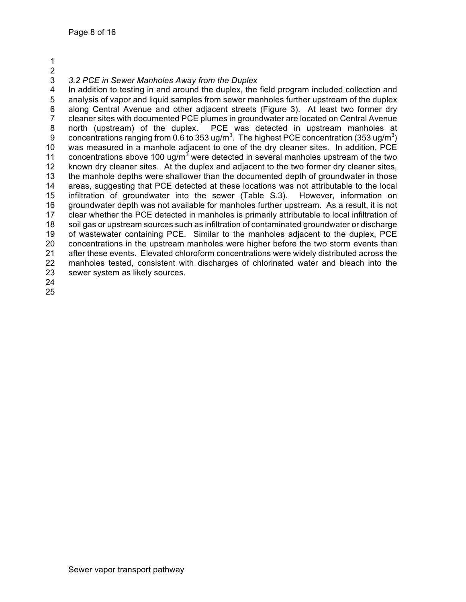- 
- 

# *3.2 PCE in Sewer Manholes Away from the Duplex*

 In addition to testing in and around the duplex, the field program included collection and analysis of vapor and liquid samples from sewer manholes further upstream of the duplex along Central Avenue and other adjacent streets (Figure 3). At least two former dry cleaner sites with documented PCE plumes in groundwater are located on Central Avenue north (upstream) of the duplex. PCE was detected in upstream manholes at 9 concentrations ranging from 0.6 to 353 ug/m<sup>3</sup>. The highest PCE concentration (353 ug/m<sup>3</sup>) was measured in a manhole adjacent to one of the dry cleaner sites. In addition, PCE 11 concentrations above 100 ug/ $m<sup>3</sup>$  were detected in several manholes upstream of the two known dry cleaner sites. At the duplex and adjacent to the two former dry cleaner sites, the manhole depths were shallower than the documented depth of groundwater in those areas, suggesting that PCE detected at these locations was not attributable to the local infiltration of groundwater into the sewer (Table S.3). However, information on groundwater depth was not available for manholes further upstream. As a result, it is not clear whether the PCE detected in manholes is primarily attributable to local infiltration of soil gas or upstream sources such as infiltration of contaminated groundwater or discharge of wastewater containing PCE. Similar to the manholes adjacent to the duplex, PCE concentrations in the upstream manholes were higher before the two storm events than after these events. Elevated chloroform concentrations were widely distributed across the manholes tested, consistent with discharges of chlorinated water and bleach into the sewer system as likely sources.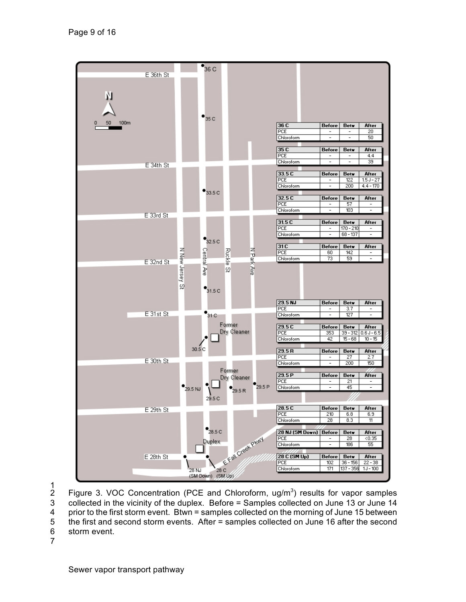

 $\frac{1}{2}$ 

Figure 3. VOC Concentration (PCE and Chloroform,  $ug/m<sup>3</sup>$ ) results for vapor samples 3 collected in the vicinity of the duplex. Before = Samples collected on June 13 or June 14 4 prior to the first storm event. Btwn = samples collected on the morning of June 15 between 5 the first and second storm events. After = samples collected on June 16 after the second 6 storm event.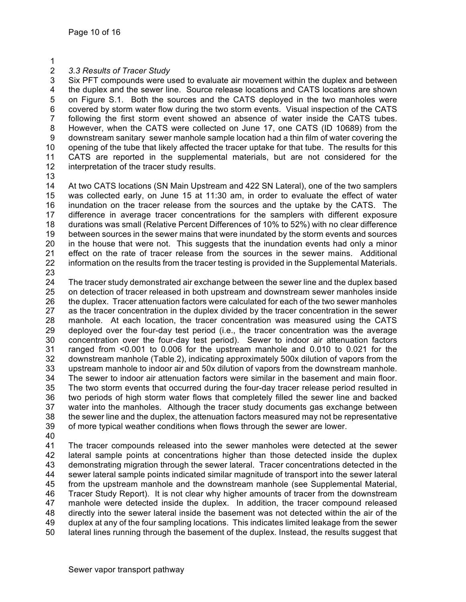#### *3.3 Results of Tracer Study*

 Six PFT compounds were used to evaluate air movement within the duplex and between the duplex and the sewer line. Source release locations and CATS locations are shown on Figure S.1. Both the sources and the CATS deployed in the two manholes were covered by storm water flow during the two storm events. Visual inspection of the CATS following the first storm event showed an absence of water inside the CATS tubes. However, when the CATS were collected on June 17, one CATS (ID 10689) from the downstream sanitary sewer manhole sample location had a thin film of water covering the opening of the tube that likely affected the tracer uptake for that tube. The results for this CATS are reported in the supplemental materials, but are not considered for the interpretation of the tracer study results.

 At two CATS locations (SN Main Upstream and 422 SN Lateral), one of the two samplers was collected early, on June 15 at 11:30 am, in order to evaluate the effect of water inundation on the tracer release from the sources and the uptake by the CATS. The difference in average tracer concentrations for the samplers with different exposure durations was small (Relative Percent Differences of 10% to 52%) with no clear difference between sources in the sewer mains that were inundated by the storm events and sources 20 in the house that were not. This suggests that the inundation events had only a minor<br>21 effect on the rate of tracer release from the sources in the sewer mains. Additional effect on the rate of tracer release from the sources in the sewer mains. Additional information on the results from the tracer testing is provided in the Supplemental Materials.

 The tracer study demonstrated air exchange between the sewer line and the duplex based on detection of tracer released in both upstream and downstream sewer manholes inside the duplex. Tracer attenuation factors were calculated for each of the two sewer manholes as the tracer concentration in the duplex divided by the tracer concentration in the sewer manhole. At each location, the tracer concentration was measured using the CATS deployed over the four-day test period (i.e., the tracer concentration was the average concentration over the four-day test period). Sewer to indoor air attenuation factors ranged from <0.001 to 0.006 for the upstream manhole and 0.010 to 0.021 for the downstream manhole (Table 2), indicating approximately 500x dilution of vapors from the upstream manhole to indoor air and 50x dilution of vapors from the downstream manhole. The sewer to indoor air attenuation factors were similar in the basement and main floor. The two storm events that occurred during the four-day tracer release period resulted in two periods of high storm water flows that completely filled the sewer line and backed water into the manholes. Although the tracer study documents gas exchange between the sewer line and the duplex, the attenuation factors measured may not be representative of more typical weather conditions when flows through the sewer are lower.

 The tracer compounds released into the sewer manholes were detected at the sewer lateral sample points at concentrations higher than those detected inside the duplex demonstrating migration through the sewer lateral. Tracer concentrations detected in the sewer lateral sample points indicated similar magnitude of transport into the sewer lateral from the upstream manhole and the downstream manhole (see Supplemental Material, Tracer Study Report). It is not clear why higher amounts of tracer from the downstream manhole were detected inside the duplex. In addition, the tracer compound released directly into the sewer lateral inside the basement was not detected within the air of the duplex at any of the four sampling locations. This indicates limited leakage from the sewer lateral lines running through the basement of the duplex. Instead, the results suggest that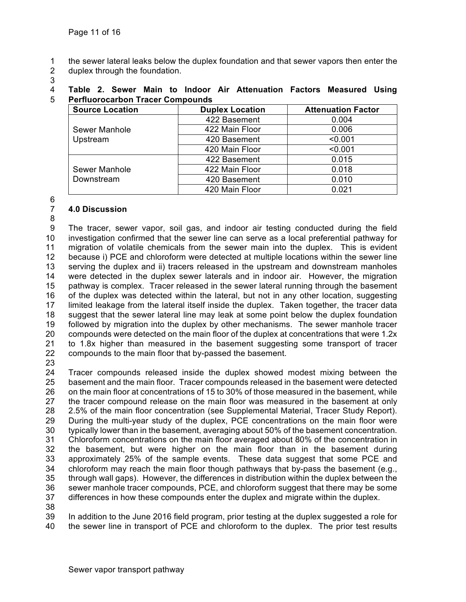- the sewer lateral leaks below the duplex foundation and that sewer vapors then enter the
- duplex through the foundation.
- 
- **Table 2. Sewer Main to Indoor Air Attenuation Factors Measured Using Perfluorocarbon Tracer Compounds**

| <b>Source Location</b> | <b>Duplex Location</b> | <b>Attenuation Factor</b> |
|------------------------|------------------------|---------------------------|
|                        | 422 Basement           | 0.004                     |
| Sewer Manhole          | 422 Main Floor         | 0.006                     |
| Upstream               | 420 Basement           | < 0.001                   |
|                        | 420 Main Floor         | < 0.001                   |
|                        | 422 Basement           | 0.015                     |
| Sewer Manhole          | 422 Main Floor         | 0.018                     |
| Downstream             | 420 Basement           | 0.010                     |
|                        | 420 Main Floor         | 0.021                     |

# 

# **4.0 Discussion**

 The tracer, sewer vapor, soil gas, and indoor air testing conducted during the field investigation confirmed that the sewer line can serve as a local preferential pathway for migration of volatile chemicals from the sewer main into the duplex. This is evident because i) PCE and chloroform were detected at multiple locations within the sewer line serving the duplex and ii) tracers released in the upstream and downstream manholes were detected in the duplex sewer laterals and in indoor air. However, the migration pathway is complex. Tracer released in the sewer lateral running through the basement of the duplex was detected within the lateral, but not in any other location, suggesting limited leakage from the lateral itself inside the duplex. Taken together, the tracer data suggest that the sewer lateral line may leak at some point below the duplex foundation followed by migration into the duplex by other mechanisms. The sewer manhole tracer compounds were detected on the main floor of the duplex at concentrations that were 1.2x to 1.8x higher than measured in the basement suggesting some transport of tracer compounds to the main floor that by-passed the basement.

 Tracer compounds released inside the duplex showed modest mixing between the basement and the main floor. Tracer compounds released in the basement were detected on the main floor at concentrations of 15 to 30% of those measured in the basement, while the tracer compound release on the main floor was measured in the basement at only 2.5% of the main floor concentration (see Supplemental Material, Tracer Study Report). During the multi-year study of the duplex, PCE concentrations on the main floor were typically lower than in the basement, averaging about 50% of the basement concentration. Chloroform concentrations on the main floor averaged about 80% of the concentration in the basement, but were higher on the main floor than in the basement during approximately 25% of the sample events. These data suggest that some PCE and 34 chloroform may reach the main floor though pathways that by-pass the basement  $(e.g.,)$  through wall gaps). However, the differences in distribution within the duplex between the sewer manhole tracer compounds, PCE, and chloroform suggest that there may be some differences in how these compounds enter the duplex and migrate within the duplex.

 In addition to the June 2016 field program, prior testing at the duplex suggested a role for the sewer line in transport of PCE and chloroform to the duplex. The prior test results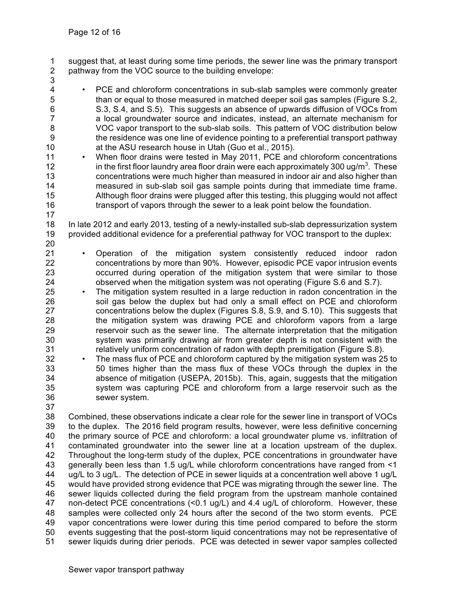suggest that, at least during some time periods, the sewer line was the primary transport pathway from the VOC source to the building envelope:

 • PCE and chloroform concentrations in sub-slab samples were commonly greater than or equal to those measured in matched deeper soil gas samples (Figure S.2, S.3, S.4, and S.5). This suggests an absence of upwards diffusion of VOCs from a local groundwater source and indicates, instead, an alternate mechanism for VOC vapor transport to the sub-slab soils. This pattern of VOC distribution below the residence was one line of evidence pointing to a preferential transport pathway at the ASU research house in Utah (Guo et al., 2015).

 • When floor drains were tested in May 2011, PCE and chloroform concentrations **in the first floor laundry area floor drain were each approximately 300 ug/m<sup>3</sup>. These**  concentrations were much higher than measured in indoor air and also higher than measured in sub-slab soil gas sample points during that immediate time frame. Although floor drains were plugged after this testing, this plugging would not affect transport of vapors through the sewer to a leak point below the foundation.

 In late 2012 and early 2013, testing of a newly-installed sub-slab depressurization system provided additional evidence for a preferential pathway for VOC transport to the duplex:

 • Operation of the mitigation system consistently reduced indoor radon concentrations by more than 90%. However, episodic PCE vapor intrusion events occurred during operation of the mitigation system that were similar to those observed when the mitigation system was not operating (Figure S.6 and S.7).

 • The mitigation system resulted in a large reduction in radon concentration in the soil gas below the duplex but had only a small effect on PCE and chloroform concentrations below the duplex (Figures S.8, S.9, and S.10). This suggests that the mitigation system was drawing PCE and chloroform vapors from a large reservoir such as the sewer line. The alternate interpretation that the mitigation system was primarily drawing air from greater depth is not consistent with the relatively uniform concentration of radon with depth premitigation (Figure S.8).

- The mass flux of PCE and chloroform captured by the mitigation system was 25 to 50 times higher than the mass flux of these VOCs through the duplex in the absence of mitigation (USEPA, 2015b). This, again, suggests that the mitigation system was capturing PCE and chloroform from a large reservoir such as the sewer system.
- 

 Combined, these observations indicate a clear role for the sewer line in transport of VOCs to the duplex. The 2016 field program results, however, were less definitive concerning the primary source of PCE and chloroform: a local groundwater plume vs. infiltration of contaminated groundwater into the sewer line at a location upstream of the duplex. Throughout the long-term study of the duplex, PCE concentrations in groundwater have generally been less than 1.5 ug/L while chloroform concentrations have ranged from <1 ug/L to 3 ug/L. The detection of PCE in sewer liquids at a concentration well above 1 ug/L would have provided strong evidence that PCE was migrating through the sewer line. The sewer liquids collected during the field program from the upstream manhole contained non-detect PCE concentrations (<0.1 ug/L) and 4.4 ug/L of chloroform. However, these samples were collected only 24 hours after the second of the two storm events. PCE vapor concentrations were lower during this time period compared to before the storm events suggesting that the post-storm liquid concentrations may not be representative of sewer liquids during drier periods. PCE was detected in sewer vapor samples collected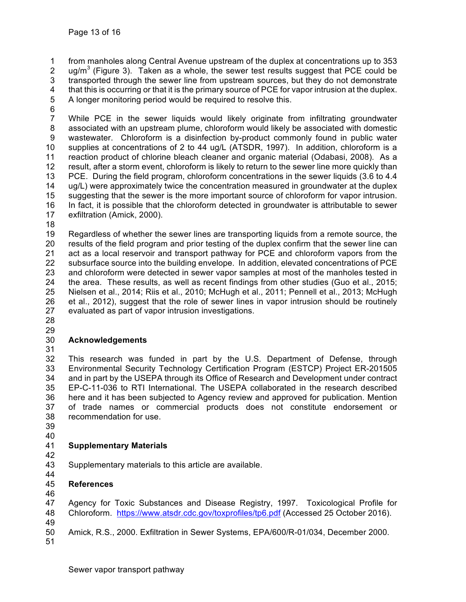from manholes along Central Avenue upstream of the duplex at concentrations up to 353 2 ug/m<sup>3</sup> (Figure 3). Taken as a whole, the sewer test results suggest that PCE could be transported through the sewer line from upstream sources, but they do not demonstrate that this is occurring or that it is the primary source of PCE for vapor intrusion at the duplex. A longer monitoring period would be required to resolve this.

 While PCE in the sewer liquids would likely originate from infiltrating groundwater associated with an upstream plume, chloroform would likely be associated with domestic wastewater. Chloroform is a disinfection by-product commonly found in public water supplies at concentrations of 2 to 44 ug/L (ATSDR, 1997). In addition, chloroform is a reaction product of chlorine bleach cleaner and organic material (Odabasi, 2008). As a result, after a storm event, chloroform is likely to return to the sewer line more quickly than PCE. During the field program, chloroform concentrations in the sewer liquids (3.6 to 4.4 ug/L) were approximately twice the concentration measured in groundwater at the duplex suggesting that the sewer is the more important source of chloroform for vapor intrusion. In fact, it is possible that the chloroform detected in groundwater is attributable to sewer exfiltration (Amick, 2000).

 Regardless of whether the sewer lines are transporting liquids from a remote source, the 20 results of the field program and prior testing of the duplex confirm that the sewer line can<br>21 act as a local reservoir and transport pathway for PCE and chloroform vapors from the act as a local reservoir and transport pathway for PCE and chloroform vapors from the subsurface source into the building envelope. In addition, elevated concentrations of PCE and chloroform were detected in sewer vapor samples at most of the manholes tested in the area. These results, as well as recent findings from other studies (Guo et al., 2015; Nielsen et al., 2014; Riis et al., 2010; McHugh et al., 2011; Pennell et al., 2013; McHugh et al., 2012), suggest that the role of sewer lines in vapor intrusion should be routinely evaluated as part of vapor intrusion investigations.

 

# **Acknowledgements**

 This research was funded in part by the U.S. Department of Defense, through Environmental Security Technology Certification Program (ESTCP) Project ER-201505 and in part by the USEPA through its Office of Research and Development under contract EP-C-11-036 to RTI International. The USEPA collaborated in the research described here and it has been subjected to Agency review and approved for publication. Mention of trade names or commercial products does not constitute endorsement or recommendation for use.

 

# **Supplementary Materials**

Supplementary materials to this article are available.

# **References**

 Agency for Toxic Substances and Disease Registry, 1997. Toxicological Profile for Chloroform. https://www.atsdr.cdc.gov/toxprofiles/tp6.pdf (Accessed 25 October 2016). 

- Amick, R.S., 2000. Exfiltration in Sewer Systems, EPA/600/R-01/034, December 2000.
-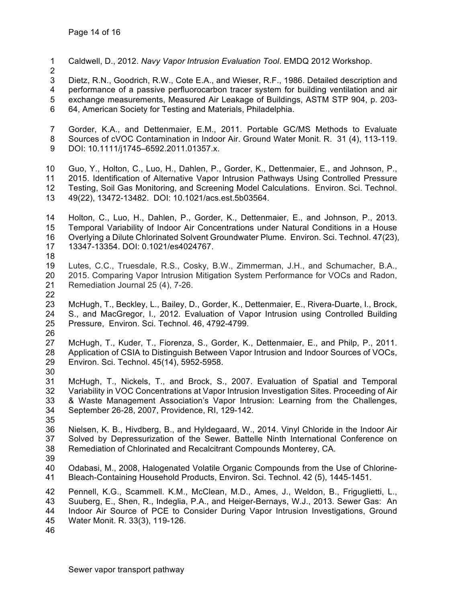Caldwell, D., 2012. *Navy Vapor Intrusion Evaluation Tool*. EMDQ 2012 Workshop.

Dietz, R.N., Goodrich, R.W., Cote E.A., and Wieser, R.F., 1986. Detailed description and

performance of a passive perfluorocarbon tracer system for building ventilation and air

exchange measurements, Measured Air Leakage of Buildings, ASTM STP 904, p. 203-

64, American Society for Testing and Materials, Philadelphia.

 Gorder, K.A., and Dettenmaier, E.M., 2011. Portable GC/MS Methods to Evaluate Sources of cVOC Contamination in Indoor Air. Ground Water Monit. R. 31 (4), 113-119. DOI: 10.1111/j1745–6592.2011.01357.x.

 Guo, Y., Holton, C., Luo, H., Dahlen, P., Gorder, K., Dettenmaier, E., and Johnson, P., 2015. Identification of Alternative Vapor Intrusion Pathways Using Controlled Pressure Testing, Soil Gas Monitoring, and Screening Model Calculations. Environ. Sci. Technol. 49(22), 13472-13482. DOI: 10.1021/acs.est.5b03564.

 Holton, C., Luo, H., Dahlen, P., Gorder, K., Dettenmaier, E., and Johnson, P., 2013. Temporal Variability of Indoor Air Concentrations under Natural Conditions in a House Overlying a Dilute Chlorinated Solvent Groundwater Plume. Environ. Sci. Technol. 47(23), 13347-13354. DOI: 0.1021/es4024767.

 Lutes, C.C., Truesdale, R.S., Cosky, B.W., Zimmerman, J.H., and Schumacher, B.A., 2015. Comparing Vapor Intrusion Mitigation System Performance for VOCs and Radon, Remediation Journal 25 (4), 7-26. 

 McHugh, T., Beckley, L., Bailey, D., Gorder, K., Dettenmaier, E., Rivera-Duarte, I., Brock, S., and MacGregor, I., 2012. Evaluation of Vapor Intrusion using Controlled Building Pressure, Environ. Sci. Technol. 46, 4792-4799. 

 McHugh, T., Kuder, T., Fiorenza, S., Gorder, K., Dettenmaier, E., and Philp, P., 2011. Application of CSIA to Distinguish Between Vapor Intrusion and Indoor Sources of VOCs, Environ. Sci. Technol. 45(14), 5952-5958. 

 McHugh, T., Nickels, T., and Brock, S., 2007. Evaluation of Spatial and Temporal Variability in VOC Concentrations at Vapor Intrusion Investigation Sites. Proceeding of Air & Waste Management Association's Vapor Intrusion: Learning from the Challenges, September 26-28, 2007, Providence, RI, 129-142.

 Nielsen, K. B., Hivdberg, B., and Hyldegaard, W., 2014. Vinyl Chloride in the Indoor Air Solved by Depressurization of the Sewer. Battelle Ninth International Conference on Remediation of Chlorinated and Recalcitrant Compounds Monterey, CA.

- 
- Odabasi, M., 2008, Halogenated Volatile Organic Compounds from the Use of Chlorine-Bleach-Containing Household Products, Environ. Sci. Technol. 42 (5), 1445-1451.

 Pennell, K.G., Scammell. K.M., McClean, M.D., Ames, J., Weldon, B., Friguglietti, L., Suuberg, E., Shen, R., Indeglia, P.A., and Heiger-Bernays, W.J., 2013. Sewer Gas: An Indoor Air Source of PCE to Consider During Vapor Intrusion Investigations, Ground Water Monit. R. 33(3), 119-126.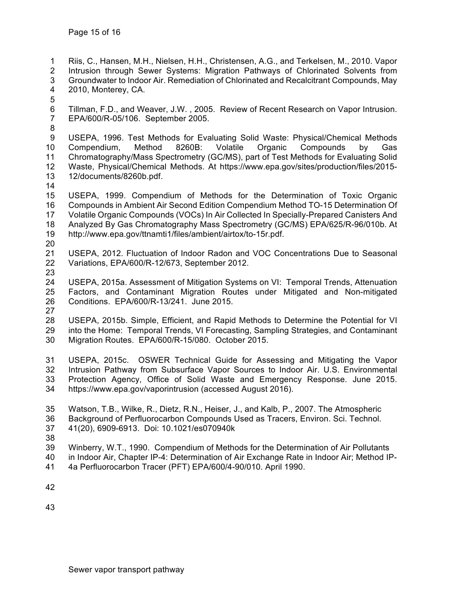Riis, C., Hansen, M.H., Nielsen, H.H., Christensen, A.G., and Terkelsen, M., 2010. Vapor Intrusion through Sewer Systems: Migration Pathways of Chlorinated Solvents from Groundwater to Indoor Air. Remediation of Chlorinated and Recalcitrant Compounds, May 2010, Monterey, CA.

 Tillman, F.D., and Weaver, J.W. , 2005. Review of Recent Research on Vapor Intrusion. EPA/600/R-05/106. September 2005.

 USEPA, 1996. Test Methods for Evaluating Solid Waste: Physical/Chemical Methods Compendium, Method 8260B: Volatile Organic Compounds by Gas Chromatography/Mass Spectrometry (GC/MS), part of Test Methods for Evaluating Solid Waste, Physical/Chemical Methods. At https://www.epa.gov/sites/production/files/2015- 12/documents/8260b.pdf.

 USEPA, 1999. Compendium of Methods for the Determination of Toxic Organic Compounds in Ambient Air Second Edition Compendium Method TO-15 Determination Of Volatile Organic Compounds (VOCs) In Air Collected In Specially-Prepared Canisters And Analyzed By Gas Chromatography Mass Spectrometry (GC/MS) EPA/625/R-96/010b. At http://www.epa.gov/ttnamti1/files/ambient/airtox/to-15r.pdf.

 USEPA, 2012. Fluctuation of Indoor Radon and VOC Concentrations Due to Seasonal Variations, EPA/600/R-12/673, September 2012.

 USEPA, 2015a. Assessment of Mitigation Systems on VI: Temporal Trends, Attenuation Factors, and Contaminant Migration Routes under Mitigated and Non-mitigated Conditions. EPA/600/R-13/241. June 2015. 

 USEPA, 2015b. Simple, Efficient, and Rapid Methods to Determine the Potential for VI into the Home: Temporal Trends, VI Forecasting, Sampling Strategies, and Contaminant Migration Routes. EPA/600/R-15/080. October 2015.

 USEPA, 2015c. OSWER Technical Guide for Assessing and Mitigating the Vapor Intrusion Pathway from Subsurface Vapor Sources to Indoor Air. U.S. Environmental Protection Agency, Office of Solid Waste and Emergency Response. June 2015. https://www.epa.gov/vaporintrusion (accessed August 2016).

 Watson, T.B., Wilke, R., Dietz, R.N., Heiser, J., and Kalb, P., 2007. The Atmospheric Background of Perfluorocarbon Compounds Used as Tracers, Environ. Sci. Technol.

- 41(20), 6909-6913. Doi: 10.1021/es070940k
- 

Winberry, W.T., 1990. Compendium of Methods for the Determination of Air Pollutants

in Indoor Air, Chapter IP-4: Determination of Air Exchange Rate in Indoor Air; Method IP-

4a Perfluorocarbon Tracer (PFT) EPA/600/4-90/010. April 1990.